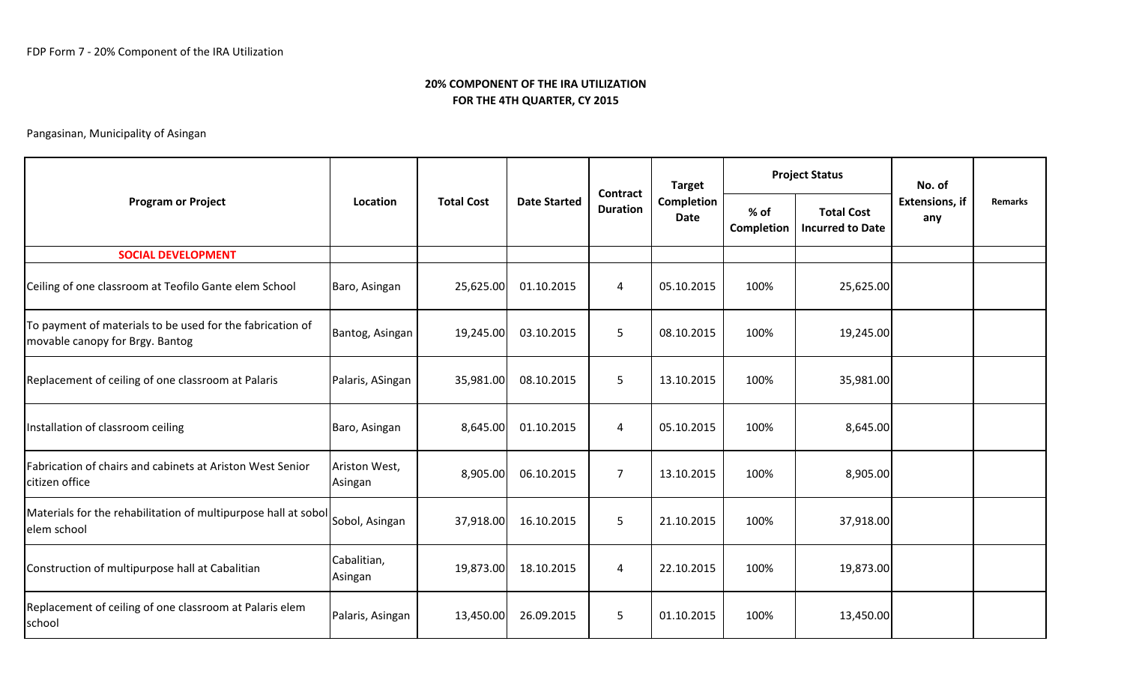|                                                                                              |                          | <b>Total Cost</b> | <b>Date Started</b> | <b>Contract</b><br><b>Duration</b> | <b>Target</b><br>Completion<br><b>Date</b> |                      | <b>Project Status</b>                        | No. of<br><b>Extensions, if</b><br>any |                |
|----------------------------------------------------------------------------------------------|--------------------------|-------------------|---------------------|------------------------------------|--------------------------------------------|----------------------|----------------------------------------------|----------------------------------------|----------------|
| <b>Program or Project</b>                                                                    | Location                 |                   |                     |                                    |                                            | $%$ of<br>Completion | <b>Total Cost</b><br><b>Incurred to Date</b> |                                        | <b>Remarks</b> |
| <b>SOCIAL DEVELOPMENT</b>                                                                    |                          |                   |                     |                                    |                                            |                      |                                              |                                        |                |
| Ceiling of one classroom at Teofilo Gante elem School                                        | Baro, Asingan            | 25,625.00         | 01.10.2015          | $\overline{4}$                     | 05.10.2015                                 | 100%                 | 25,625.00                                    |                                        |                |
| To payment of materials to be used for the fabrication of<br>movable canopy for Brgy. Bantog | Bantog, Asingan          | 19,245.00         | 03.10.2015          | 5                                  | 08.10.2015                                 | 100%                 | 19,245.00                                    |                                        |                |
| Replacement of ceiling of one classroom at Palaris                                           | Palaris, ASingan         | 35,981.00         | 08.10.2015          | 5                                  | 13.10.2015                                 | 100%                 | 35,981.00                                    |                                        |                |
| Installation of classroom ceiling                                                            | Baro, Asingan            | 8,645.00          | 01.10.2015          | 4                                  | 05.10.2015                                 | 100%                 | 8,645.00                                     |                                        |                |
| Fabrication of chairs and cabinets at Ariston West Senior<br>citizen office                  | Ariston West,<br>Asingan | 8,905.00          | 06.10.2015          | $\overline{7}$                     | 13.10.2015                                 | 100%                 | 8,905.00                                     |                                        |                |
| Materials for the rehabilitation of multipurpose hall at sobol<br>elem school                | Sobol, Asingan           | 37,918.00         | 16.10.2015          | 5                                  | 21.10.2015                                 | 100%                 | 37,918.00                                    |                                        |                |
| Construction of multipurpose hall at Cabalitian                                              | Cabalitian,<br>Asingan   | 19,873.00         | 18.10.2015          | $\overline{4}$                     | 22.10.2015                                 | 100%                 | 19,873.00                                    |                                        |                |
| Replacement of ceiling of one classroom at Palaris elem<br>school                            | Palaris, Asingan         | 13,450.00         | 26.09.2015          | 5                                  | 01.10.2015                                 | 100%                 | 13,450.00                                    |                                        |                |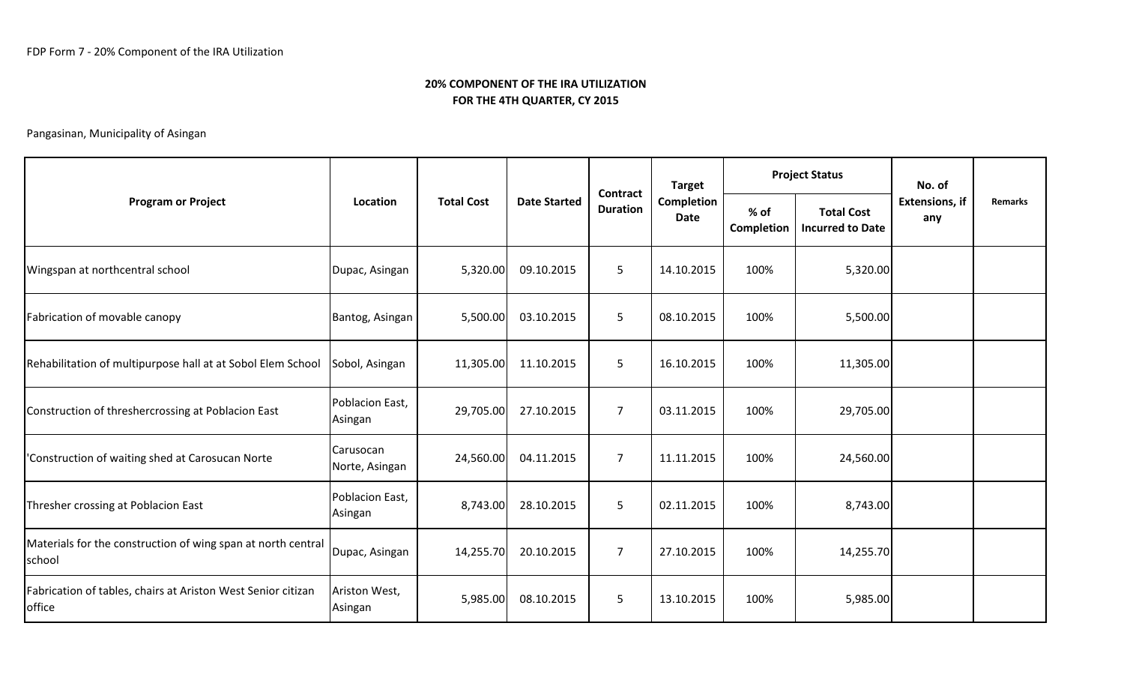| <b>Program or Project</b>                                              | Location                    | <b>Total Cost</b> | <b>Date Started</b> | Contract<br><b>Duration</b> | <b>Target</b><br>Completion<br><b>Date</b> |                    | <b>Project Status</b>                        | No. of<br><b>Extensions, if</b><br>any |                |
|------------------------------------------------------------------------|-----------------------------|-------------------|---------------------|-----------------------------|--------------------------------------------|--------------------|----------------------------------------------|----------------------------------------|----------------|
|                                                                        |                             |                   |                     |                             |                                            | % of<br>Completion | <b>Total Cost</b><br><b>Incurred to Date</b> |                                        | <b>Remarks</b> |
| Wingspan at northcentral school                                        | Dupac, Asingan              | 5,320.00          | 09.10.2015          | 5                           | 14.10.2015                                 | 100%               | 5,320.00                                     |                                        |                |
| Fabrication of movable canopy                                          | Bantog, Asingan             | 5,500.00          | 03.10.2015          | 5                           | 08.10.2015                                 | 100%               | 5,500.00                                     |                                        |                |
| Rehabilitation of multipurpose hall at at Sobol Elem School            | Sobol, Asingan              | 11,305.00         | 11.10.2015          | 5                           | 16.10.2015                                 | 100%               | 11,305.00                                    |                                        |                |
| Construction of threshercrossing at Poblacion East                     | Poblacion East,<br>Asingan  | 29,705.00         | 27.10.2015          | $\overline{7}$              | 03.11.2015                                 | 100%               | 29,705.00                                    |                                        |                |
| 'Construction of waiting shed at Carosucan Norte                       | Carusocan<br>Norte, Asingan | 24,560.00         | 04.11.2015          | $\overline{7}$              | 11.11.2015                                 | 100%               | 24,560.00                                    |                                        |                |
| Thresher crossing at Poblacion East                                    | Poblacion East,<br>Asingan  | 8,743.00          | 28.10.2015          | 5                           | 02.11.2015                                 | 100%               | 8,743.00                                     |                                        |                |
| Materials for the construction of wing span at north central<br>school | Dupac, Asingan              | 14,255.70         | 20.10.2015          | $\overline{7}$              | 27.10.2015                                 | 100%               | 14,255.70                                    |                                        |                |
| Fabrication of tables, chairs at Ariston West Senior citizan<br>office | Ariston West,<br>Asingan    | 5,985.00          | 08.10.2015          | 5                           | 13.10.2015                                 | 100%               | 5,985.00                                     |                                        |                |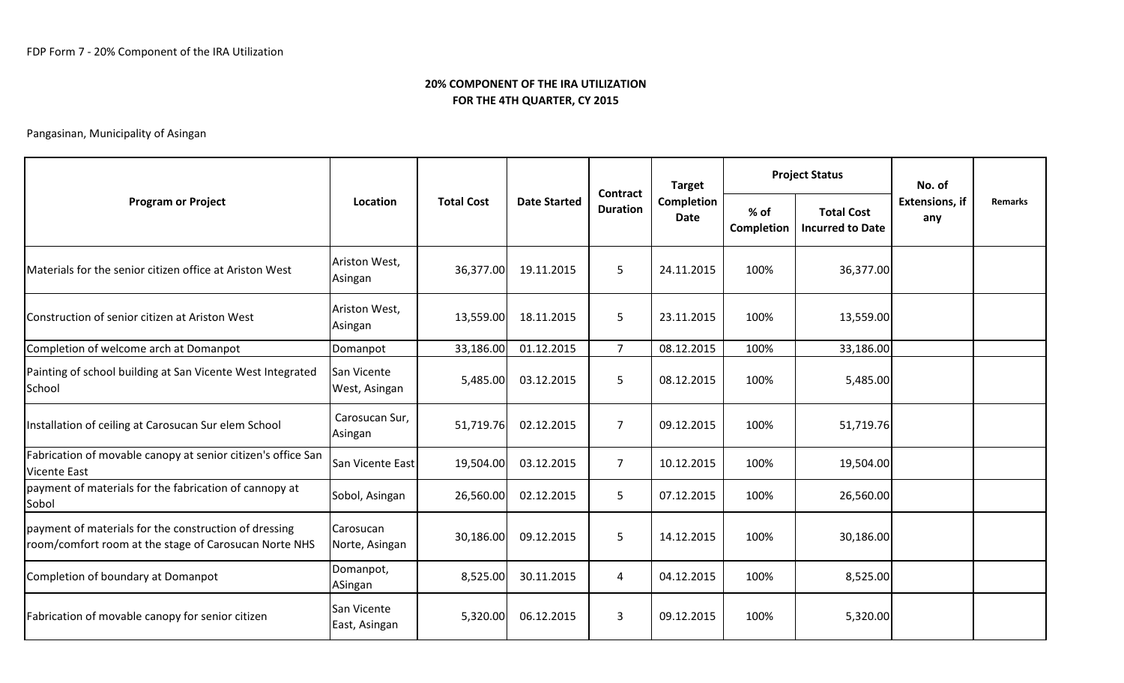|                                                                                                                |                              |                   |                     |                             | <b>Target</b><br>Completion<br><b>Date</b> |                    | <b>Project Status</b>                        | No. of                       |                |
|----------------------------------------------------------------------------------------------------------------|------------------------------|-------------------|---------------------|-----------------------------|--------------------------------------------|--------------------|----------------------------------------------|------------------------------|----------------|
| <b>Program or Project</b>                                                                                      | Location                     | <b>Total Cost</b> | <b>Date Started</b> | Contract<br><b>Duration</b> |                                            | % of<br>Completion | <b>Total Cost</b><br><b>Incurred to Date</b> | <b>Extensions, if</b><br>any | <b>Remarks</b> |
| Materials for the senior citizen office at Ariston West                                                        | Ariston West,<br>Asingan     | 36,377.00         | 19.11.2015          | 5                           | 24.11.2015                                 | 100%               | 36,377.00                                    |                              |                |
| Construction of senior citizen at Ariston West                                                                 | Ariston West,<br>Asingan     | 13,559.00         | 18.11.2015          | 5                           | 23.11.2015                                 | 100%               | 13,559.00                                    |                              |                |
| Completion of welcome arch at Domanpot                                                                         | Domanpot                     | 33,186.00         | 01.12.2015          | $\overline{7}$              | 08.12.2015                                 | 100%               | 33,186.00                                    |                              |                |
| Painting of school building at San Vicente West Integrated<br>School                                           | San Vicente<br>West, Asingan | 5,485.00          | 03.12.2015          | $5\phantom{.}$              | 08.12.2015                                 | 100%               | 5,485.00                                     |                              |                |
| Installation of ceiling at Carosucan Sur elem School                                                           | Carosucan Sur,<br>Asingan    | 51,719.76         | 02.12.2015          | $\overline{7}$              | 09.12.2015                                 | 100%               | 51,719.76                                    |                              |                |
| Fabrication of movable canopy at senior citizen's office San<br><b>Vicente East</b>                            | San Vicente East             | 19,504.00         | 03.12.2015          | $\overline{7}$              | 10.12.2015                                 | 100%               | 19,504.00                                    |                              |                |
| payment of materials for the fabrication of cannopy at<br>Sobol                                                | Sobol, Asingan               | 26,560.00         | 02.12.2015          | 5                           | 07.12.2015                                 | 100%               | 26,560.00                                    |                              |                |
| payment of materials for the construction of dressing<br>room/comfort room at the stage of Carosucan Norte NHS | Carosucan<br>Norte, Asingan  | 30,186.00         | 09.12.2015          | 5                           | 14.12.2015                                 | 100%               | 30,186.00                                    |                              |                |
| Completion of boundary at Domanpot                                                                             | Domanpot,<br>ASingan         | 8,525.00          | 30.11.2015          | $\overline{4}$              | 04.12.2015                                 | 100%               | 8,525.00                                     |                              |                |
| Fabrication of movable canopy for senior citizen                                                               | San Vicente<br>East, Asingan | 5,320.00          | 06.12.2015          | 3                           | 09.12.2015                                 | 100%               | 5,320.00                                     |                              |                |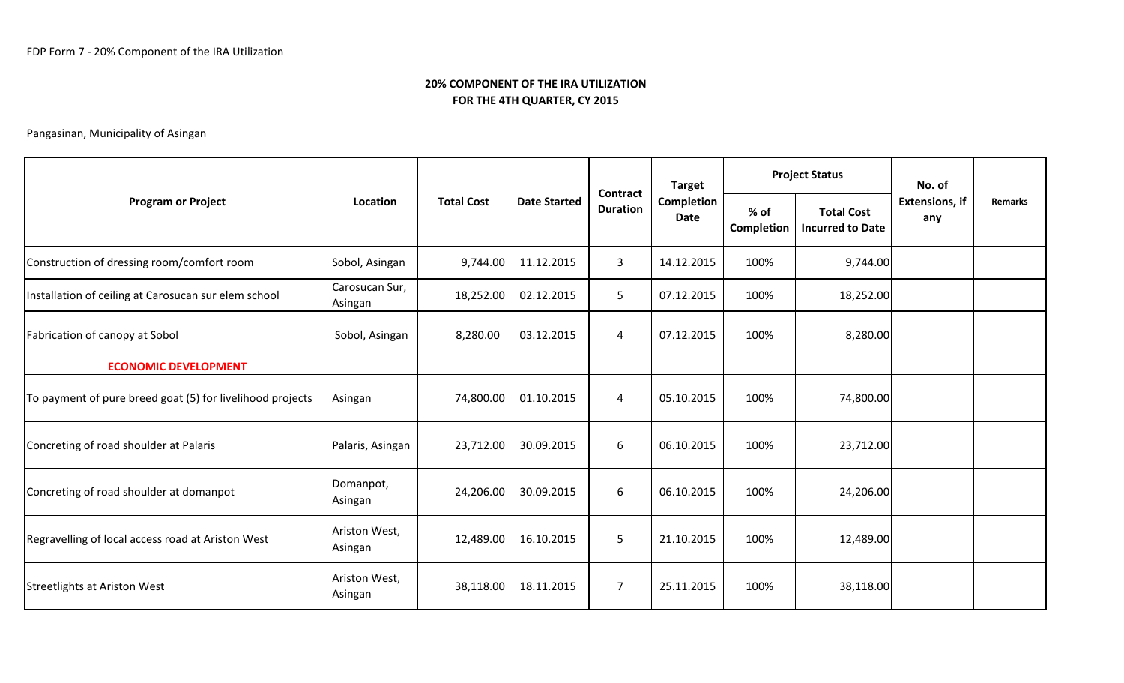| <b>Program or Project</b>                                 | Location                  |                   | <b>Date Started</b> | <b>Contract</b><br><b>Duration</b> | <b>Target</b><br><b>Completion</b><br>Date |                    | <b>Project Status</b>                        | No. of                       |                |
|-----------------------------------------------------------|---------------------------|-------------------|---------------------|------------------------------------|--------------------------------------------|--------------------|----------------------------------------------|------------------------------|----------------|
|                                                           |                           | <b>Total Cost</b> |                     |                                    |                                            | % of<br>Completion | <b>Total Cost</b><br><b>Incurred to Date</b> | <b>Extensions, if</b><br>any | <b>Remarks</b> |
| Construction of dressing room/comfort room                | Sobol, Asingan            | 9,744.00          | 11.12.2015          | $\mathbf{3}$                       | 14.12.2015                                 | 100%               | 9,744.00                                     |                              |                |
| Installation of ceiling at Carosucan sur elem school      | Carosucan Sur,<br>Asingan | 18,252.00         | 02.12.2015          | 5                                  | 07.12.2015                                 | 100%               | 18,252.00                                    |                              |                |
| Fabrication of canopy at Sobol                            | Sobol, Asingan            | 8,280.00          | 03.12.2015          | 4                                  | 07.12.2015                                 | 100%               | 8,280.00                                     |                              |                |
| <b>ECONOMIC DEVELOPMENT</b>                               |                           |                   |                     |                                    |                                            |                    |                                              |                              |                |
| To payment of pure breed goat (5) for livelihood projects | Asingan                   | 74,800.00         | 01.10.2015          | 4                                  | 05.10.2015                                 | 100%               | 74,800.00                                    |                              |                |
| Concreting of road shoulder at Palaris                    | Palaris, Asingan          | 23,712.00         | 30.09.2015          | 6                                  | 06.10.2015                                 | 100%               | 23,712.00                                    |                              |                |
| Concreting of road shoulder at domanpot                   | Domanpot,<br>Asingan      | 24,206.00         | 30.09.2015          | 6                                  | 06.10.2015                                 | 100%               | 24,206.00                                    |                              |                |
| Regravelling of local access road at Ariston West         | Ariston West,<br>Asingan  | 12,489.00         | 16.10.2015          | 5                                  | 21.10.2015                                 | 100%               | 12,489.00                                    |                              |                |
| Streetlights at Ariston West                              | Ariston West,<br>Asingan  | 38,118.00         | 18.11.2015          | $\overline{7}$                     | 25.11.2015                                 | 100%               | 38,118.00                                    |                              |                |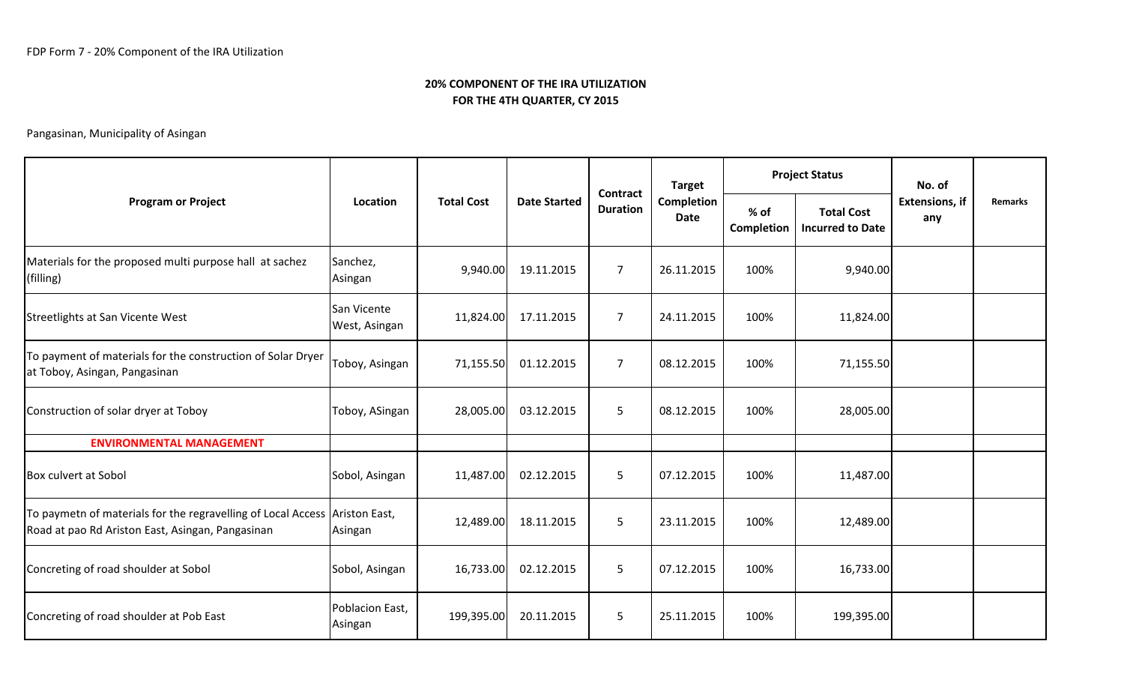|                                                                                                                                |                              |                   |                     |                                    | <b>Target</b><br><b>Completion</b><br><b>Date</b> |                      | <b>Project Status</b>                        | No. of<br><b>Extensions, if</b><br>any |         |
|--------------------------------------------------------------------------------------------------------------------------------|------------------------------|-------------------|---------------------|------------------------------------|---------------------------------------------------|----------------------|----------------------------------------------|----------------------------------------|---------|
| <b>Program or Project</b>                                                                                                      | Location                     | <b>Total Cost</b> | <b>Date Started</b> | <b>Contract</b><br><b>Duration</b> |                                                   | $%$ of<br>Completion | <b>Total Cost</b><br><b>Incurred to Date</b> |                                        | Remarks |
| Materials for the proposed multi purpose hall at sachez<br>(filling)                                                           | Sanchez,<br>Asingan          | 9,940.00          | 19.11.2015          | $\overline{7}$                     | 26.11.2015                                        | 100%                 | 9,940.00                                     |                                        |         |
| Streetlights at San Vicente West                                                                                               | San Vicente<br>West, Asingan | 11,824.00         | 17.11.2015          | $\overline{7}$                     | 24.11.2015                                        | 100%                 | 11,824.00                                    |                                        |         |
| To payment of materials for the construction of Solar Dryer<br>at Toboy, Asingan, Pangasinan                                   | Toboy, Asingan               | 71,155.50         | 01.12.2015          | $\overline{7}$                     | 08.12.2015                                        | 100%                 | 71,155.50                                    |                                        |         |
| Construction of solar dryer at Toboy                                                                                           | Toboy, ASingan               | 28,005.00         | 03.12.2015          | 5                                  | 08.12.2015                                        | 100%                 | 28,005.00                                    |                                        |         |
| <b>ENVIRONMENTAL MANAGEMENT</b>                                                                                                |                              |                   |                     |                                    |                                                   |                      |                                              |                                        |         |
| <b>Box culvert at Sobol</b>                                                                                                    | Sobol, Asingan               | 11,487.00         | 02.12.2015          | 5                                  | 07.12.2015                                        | 100%                 | 11,487.00                                    |                                        |         |
| To paymetn of materials for the regravelling of Local Access Ariston East,<br>Road at pao Rd Ariston East, Asingan, Pangasinan | Asingan                      | 12,489.00         | 18.11.2015          | 5                                  | 23.11.2015                                        | 100%                 | 12,489.00                                    |                                        |         |
| Concreting of road shoulder at Sobol                                                                                           | Sobol, Asingan               | 16,733.00         | 02.12.2015          | 5                                  | 07.12.2015                                        | 100%                 | 16,733.00                                    |                                        |         |
| Concreting of road shoulder at Pob East                                                                                        | Poblacion East,<br>Asingan   | 199,395.00        | 20.11.2015          | 5                                  | 25.11.2015                                        | 100%                 | 199,395.00                                   |                                        |         |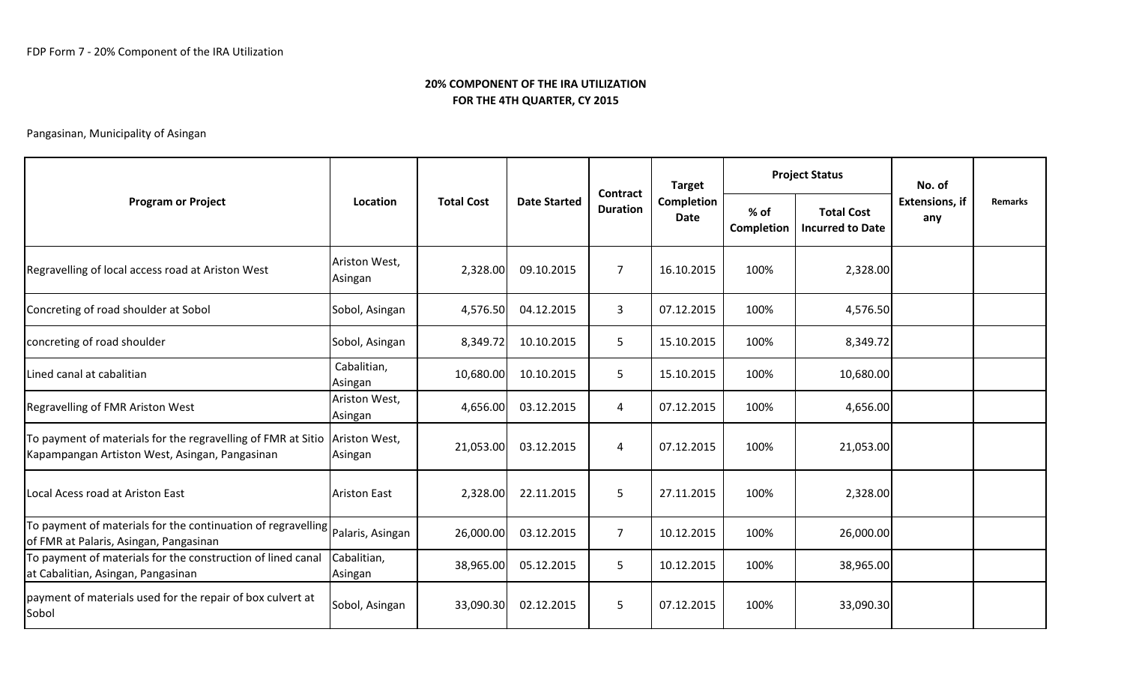| <b>Program or Project</b>                                                                                                    |                          |                   | <b>Date Started</b> | Contract<br><b>Duration</b> | <b>Target</b><br>Completion<br>Date | <b>Project Status</b> |                                              | No. of                       |                |
|------------------------------------------------------------------------------------------------------------------------------|--------------------------|-------------------|---------------------|-----------------------------|-------------------------------------|-----------------------|----------------------------------------------|------------------------------|----------------|
|                                                                                                                              | Location                 | <b>Total Cost</b> |                     |                             |                                     | % of<br>Completion    | <b>Total Cost</b><br><b>Incurred to Date</b> | <b>Extensions, if</b><br>any | <b>Remarks</b> |
| Regravelling of local access road at Ariston West                                                                            | Ariston West,<br>Asingan | 2,328.00          | 09.10.2015          | $\overline{7}$              | 16.10.2015                          | 100%                  | 2,328.00                                     |                              |                |
| Concreting of road shoulder at Sobol                                                                                         | Sobol, Asingan           | 4,576.50          | 04.12.2015          | 3                           | 07.12.2015                          | 100%                  | 4,576.50                                     |                              |                |
| concreting of road shoulder                                                                                                  | Sobol, Asingan           | 8,349.72          | 10.10.2015          | 5                           | 15.10.2015                          | 100%                  | 8,349.72                                     |                              |                |
| Lined canal at cabalitian                                                                                                    | Cabalitian,<br>Asingan   | 10,680.00         | 10.10.2015          | 5                           | 15.10.2015                          | 100%                  | 10,680.00                                    |                              |                |
| Regravelling of FMR Ariston West                                                                                             | Ariston West,<br>Asingan | 4,656.00          | 03.12.2015          | 4                           | 07.12.2015                          | 100%                  | 4,656.00                                     |                              |                |
| To payment of materials for the regravelling of FMR at Sitio Ariston West,<br>Kapampangan Artiston West, Asingan, Pangasinan | Asingan                  | 21,053.00         | 03.12.2015          | 4                           | 07.12.2015                          | 100%                  | 21,053.00                                    |                              |                |
| Local Acess road at Ariston East                                                                                             | <b>Ariston East</b>      | 2,328.00          | 22.11.2015          | 5                           | 27.11.2015                          | 100%                  | 2,328.00                                     |                              |                |
| To payment of materials for the continuation of regravelling   Palaris, Asingan<br>of FMR at Palaris, Asingan, Pangasinan    |                          | 26,000.00         | 03.12.2015          | $\overline{7}$              | 10.12.2015                          | 100%                  | 26,000.00                                    |                              |                |
| To payment of materials for the construction of lined canal<br>at Cabalitian, Asingan, Pangasinan                            | Cabalitian,<br>Asingan   | 38,965.00         | 05.12.2015          | 5                           | 10.12.2015                          | 100%                  | 38,965.00                                    |                              |                |
| payment of materials used for the repair of box culvert at<br>Sobol                                                          | Sobol, Asingan           | 33,090.30         | 02.12.2015          | 5                           | 07.12.2015                          | 100%                  | 33,090.30                                    |                              |                |